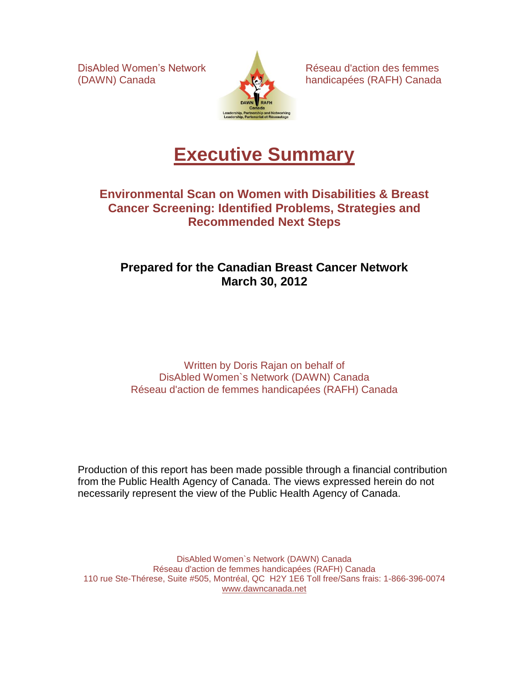

DisAbled Women's Network **Réseau d'action des femmes** (DAWN) Canada handicapées (RAFH) Canada

# **Executive Summary**

### **Environmental Scan on Women with Disabilities & Breast Cancer Screening: Identified Problems, Strategies and Recommended Next Steps**

### **Prepared for the Canadian Breast Cancer Network March 30, 2012**

Written by Doris Rajan on behalf of DisAbled Women`s Network (DAWN) Canada Réseau d'action de femmes handicapées (RAFH) Canada

Production of this report has been made possible through a financial contribution from the Public Health Agency of Canada. The views expressed herein do not necessarily represent the view of the Public Health Agency of Canada.

DisAbled Women`s Network (DAWN) Canada Réseau d'action de femmes handicapées (RAFH) Canada 110 rue Ste-Thérese, Suite #505, Montréal, QC H2Y 1E6 Toll free/Sans frais: 1-866-396-0074 [www.dawncanada.net](http://www.dawncanada.net/)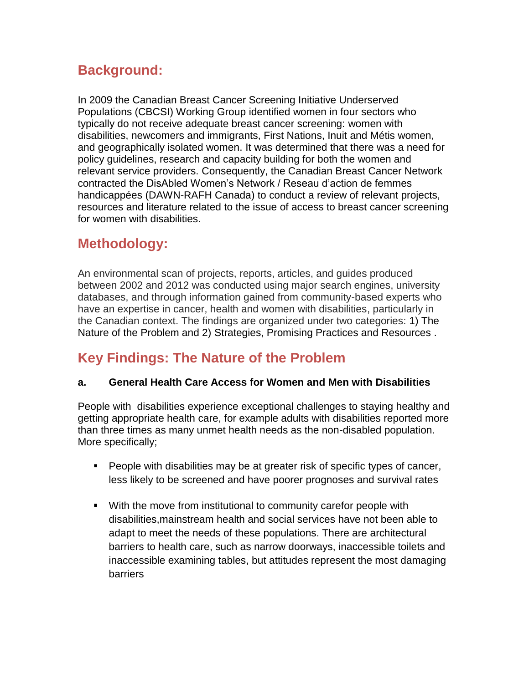## **Background:**

In 2009 the Canadian Breast Cancer Screening Initiative Underserved Populations (CBCSI) Working Group identified women in four sectors who typically do not receive adequate breast cancer screening: women with disabilities, newcomers and immigrants, First Nations, Inuit and Métis women, and geographically isolated women. It was determined that there was a need for policy guidelines, research and capacity building for both the women and relevant service providers. Consequently, the Canadian Breast Cancer Network contracted the DisAbled Women's Network / Reseau d'action de femmes handicappées (DAWN-RAFH Canada) to conduct a review of relevant projects, resources and literature related to the issue of access to breast cancer screening for women with disabilities.

### **Methodology:**

An environmental scan of projects, reports, articles, and guides produced between 2002 and 2012 was conducted using major search engines, university databases, and through information gained from community-based experts who have an expertise in cancer, health and women with disabilities, particularly in the Canadian context. The findings are organized under two categories: 1) The Nature of the Problem and 2) Strategies, Promising Practices and Resources .

# **Key Findings: The Nature of the Problem**

#### **a. General Health Care Access for Women and Men with Disabilities**

People with disabilities experience exceptional challenges to staying healthy and getting appropriate health care, for example adults with disabilities reported more than three times as many unmet health needs as the non-disabled population. More specifically;

- **People with disabilities may be at greater risk of specific types of cancer,** less likely to be screened and have poorer prognoses and survival rates
- With the move from institutional to community carefor people with disabilities,mainstream health and social services have not been able to adapt to meet the needs of these populations. There are architectural barriers to health care, such as narrow doorways, inaccessible toilets and inaccessible examining tables, but attitudes represent the most damaging barriers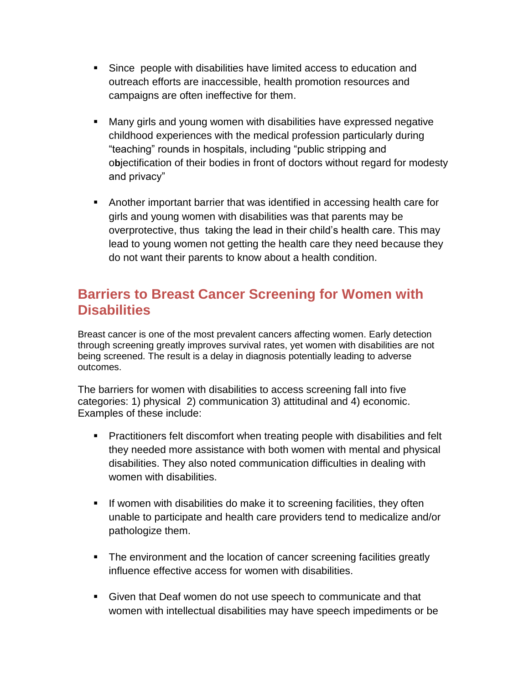- Since people with disabilities have limited access to education and outreach efforts are inaccessible, health promotion resources and campaigns are often ineffective for them.
- Many girls and young women with disabilities have expressed negative childhood experiences with the medical profession particularly during "teaching" rounds in hospitals, including "public stripping and o**b**jectification of their bodies in front of doctors without regard for modesty and privacy"
- Another important barrier that was identified in accessing health care for girls and young women with disabilities was that parents may be overprotective, thus taking the lead in their child's health care. This may lead to young women not getting the health care they need because they do not want their parents to know about a health condition.

### **Barriers to Breast Cancer Screening for Women with Disabilities**

Breast cancer is one of the most prevalent cancers affecting women. Early detection through screening greatly improves survival rates, yet women with disabilities are not being screened. The result is a delay in diagnosis potentially leading to adverse outcomes.

The barriers for women with disabilities to access screening fall into five categories: 1) physical 2) communication 3) attitudinal and 4) economic. Examples of these include:

- **Practitioners felt discomfort when treating people with disabilities and felt** they needed more assistance with both women with mental and physical disabilities. They also noted communication difficulties in dealing with women with disabilities.
- **If women with disabilities do make it to screening facilities, they often** unable to participate and health care providers tend to medicalize and/or pathologize them.
- The environment and the location of cancer screening facilities greatly influence effective access for women with disabilities.
- Given that Deaf women do not use speech to communicate and that women with intellectual disabilities may have speech impediments or be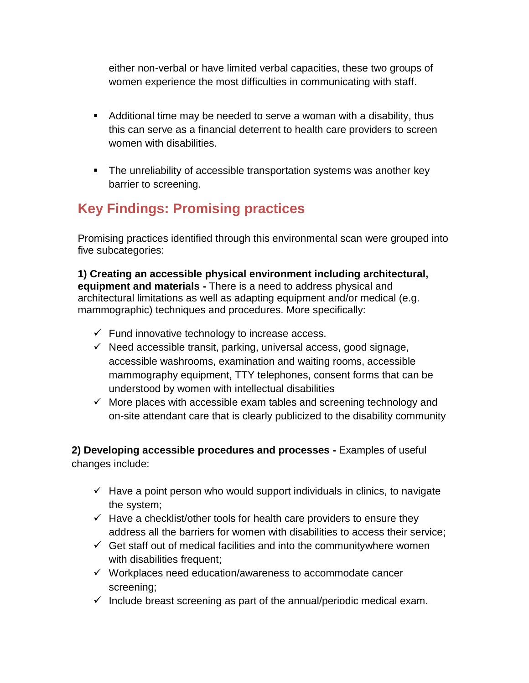either non-verbal or have limited verbal capacities, these two groups of women experience the most difficulties in communicating with staff.

- Additional time may be needed to serve a woman with a disability, thus this can serve as a financial deterrent to health care providers to screen women with disabilities.
- The unreliability of accessible transportation systems was another key barrier to screening.

# **Key Findings: Promising practices**

Promising practices identified through this environmental scan were grouped into five subcategories:

**1) Creating an accessible physical environment including architectural, equipment and materials -** There is a need to address physical and architectural limitations as well as adapting equipment and/or medical (e.g. mammographic) techniques and procedures. More specifically:

- $\checkmark$  Fund innovative technology to increase access.
- $\checkmark$  Need accessible transit, parking, universal access, good signage, accessible washrooms, examination and waiting rooms, accessible mammography equipment, TTY telephones, consent forms that can be understood by women with intellectual disabilities
- $\checkmark$  More places with accessible exam tables and screening technology and on-site attendant care that is clearly publicized to the disability community

**2) Developing accessible procedures and processes -** Examples of useful changes include:

- $\checkmark$  Have a point person who would support individuals in clinics, to navigate the system;
- $\checkmark$  Have a checklist/other tools for health care providers to ensure they address all the barriers for women with disabilities to access their service;
- $\checkmark$  Get staff out of medical facilities and into the communitywhere women with disabilities frequent;
- $\checkmark$  Workplaces need education/awareness to accommodate cancer screening;
- $\checkmark$  Include breast screening as part of the annual/periodic medical exam.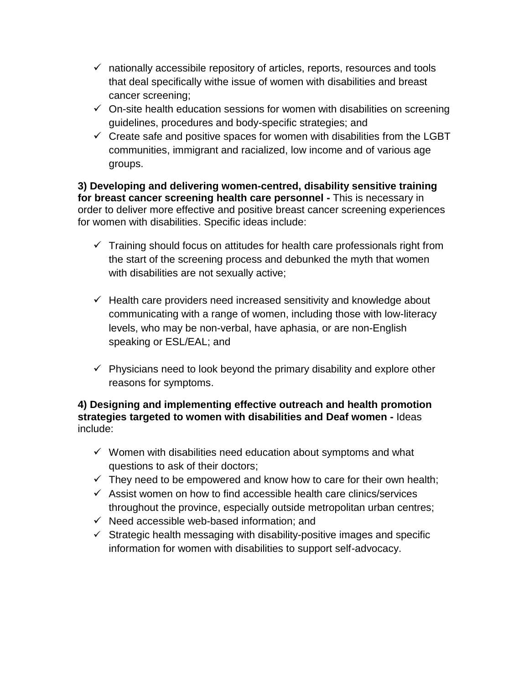- $\checkmark$  nationally accessibile repository of articles, reports, resources and tools that deal specifically withe issue of women with disabilities and breast cancer screening;
- $\checkmark$  On-site health education sessions for women with disabilities on screening guidelines, procedures and body-specific strategies; and
- $\checkmark$  Create safe and positive spaces for women with disabilities from the LGBT communities, immigrant and racialized, low income and of various age groups.

**3) Developing and delivering women-centred, disability sensitive training for breast cancer screening health care personnel -** This is necessary in order to deliver more effective and positive breast cancer screening experiences for women with disabilities. Specific ideas include:

- $\checkmark$  Training should focus on attitudes for health care professionals right from the start of the screening process and debunked the myth that women with disabilities are not sexually active;
- $\checkmark$  Health care providers need increased sensitivity and knowledge about communicating with a range of women, including those with low-literacy levels, who may be non-verbal, have aphasia, or are non-English speaking or ESL/EAL; and
- $\checkmark$  Physicians need to look beyond the primary disability and explore other reasons for symptoms.

#### **4) Designing and implementing effective outreach and health promotion strategies targeted to women with disabilities and Deaf women -** Ideas include:

- $\checkmark$  Women with disabilities need education about symptoms and what questions to ask of their doctors;
- $\checkmark$  They need to be empowered and know how to care for their own health;
- $\checkmark$  Assist women on how to find accessible health care clinics/services throughout the province, especially outside metropolitan urban centres;
- $\checkmark$  Need accessible web-based information; and
- $\checkmark$  Strategic health messaging with disability-positive images and specific information for women with disabilities to support self-advocacy.